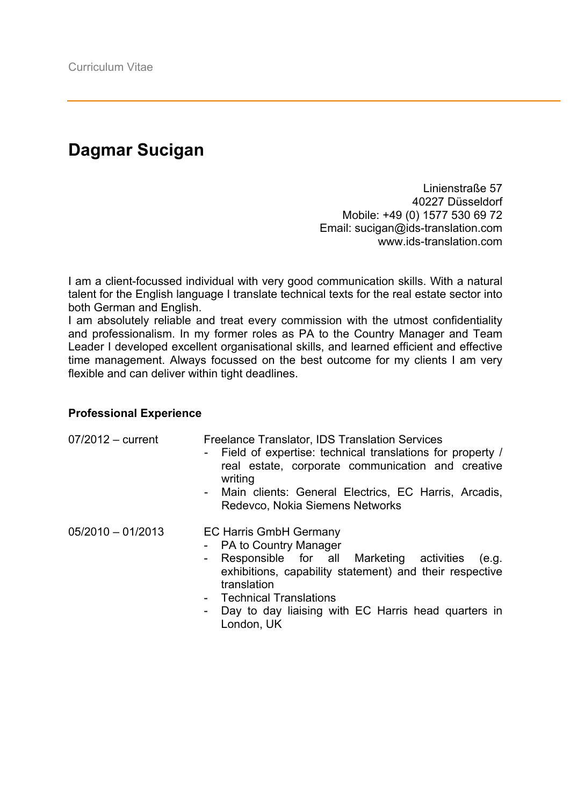## **Dagmar Sucigan**

Linienstraße 57 40227 Düsseldorf Mobile: +49 (0) 1577 530 69 72 Email: sucigan@ids-translation.com www.ids-translation.com

I am a client-focussed individual with very good communication skills. With a natural talent for the English language I translate technical texts for the real estate sector into both German and English.

I am absolutely reliable and treat every commission with the utmost confidentiality and professionalism. In my former roles as PA to the Country Manager and Team Leader I developed excellent organisational skills, and learned efficient and effective time management. Always focussed on the best outcome for my clients I am very flexible and can deliver within tight deadlines.

## **Professional Experience**

| $07/2012 - current$ | <b>Freelance Translator, IDS Translation Services</b><br>Field of expertise: technical translations for property /<br>real estate, corporate communication and creative<br>writing<br>- Main clients: General Electrics, EC Harris, Arcadis,<br>Redevco, Nokia Siemens Networks                      |
|---------------------|------------------------------------------------------------------------------------------------------------------------------------------------------------------------------------------------------------------------------------------------------------------------------------------------------|
| $05/2010 - 01/2013$ | <b>EC Harris GmbH Germany</b><br>- PA to Country Manager<br>- Responsible for all Marketing activities<br>(e.g.<br>exhibitions, capability statement) and their respective<br>translation<br>- Technical Translations<br>Day to day liaising with EC Harris head quarters in<br>$\sim$<br>London, UK |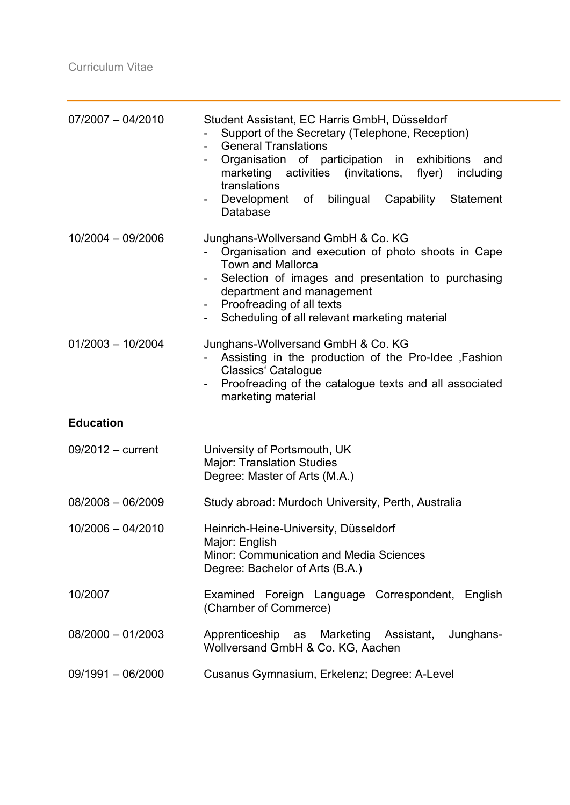| $07/2007 - 04/2010$ | Student Assistant, EC Harris GmbH, Düsseldorf<br>Support of the Secretary (Telephone, Reception)<br><b>General Translations</b><br>$\sim$<br>Organisation of participation in exhibitions<br>and<br>marketing activities (invitations, flyer)<br>including<br>translations<br>Development of<br>bilingual Capability Statement<br>Database |
|---------------------|--------------------------------------------------------------------------------------------------------------------------------------------------------------------------------------------------------------------------------------------------------------------------------------------------------------------------------------------|
| 10/2004 - 09/2006   | Junghans-Wollversand GmbH & Co. KG<br>Organisation and execution of photo shoots in Cape<br><b>Town and Mallorca</b><br>Selection of images and presentation to purchasing<br>Ξ.<br>department and management<br>Proofreading of all texts<br>$\sim$<br>Scheduling of all relevant marketing material<br>$\sim$                            |
| $01/2003 - 10/2004$ | Junghans-Wollversand GmbH & Co. KG<br>Assisting in the production of the Pro-Idee ,Fashion<br><b>Classics' Catalogue</b><br>Proofreading of the catalogue texts and all associated<br>marketing material                                                                                                                                   |
| <b>Education</b>    |                                                                                                                                                                                                                                                                                                                                            |
| $09/2012 - current$ | University of Portsmouth, UK<br><b>Major: Translation Studies</b><br>Degree: Master of Arts (M.A.)                                                                                                                                                                                                                                         |
| $08/2008 - 06/2009$ | Study abroad: Murdoch University, Perth, Australia                                                                                                                                                                                                                                                                                         |
| $10/2006 - 04/2010$ | Heinrich-Heine-University, Düsseldorf<br>Major: English<br><b>Minor: Communication and Media Sciences</b><br>Degree: Bachelor of Arts (B.A.)                                                                                                                                                                                               |
| 10/2007             | Examined Foreign Language Correspondent, English<br>(Chamber of Commerce)                                                                                                                                                                                                                                                                  |
| $08/2000 - 01/2003$ | Apprenticeship<br>as Marketing<br>Junghans-<br>Assistant,<br>Wollversand GmbH & Co. KG, Aachen                                                                                                                                                                                                                                             |
| 09/1991 - 06/2000   | Cusanus Gymnasium, Erkelenz; Degree: A-Level                                                                                                                                                                                                                                                                                               |